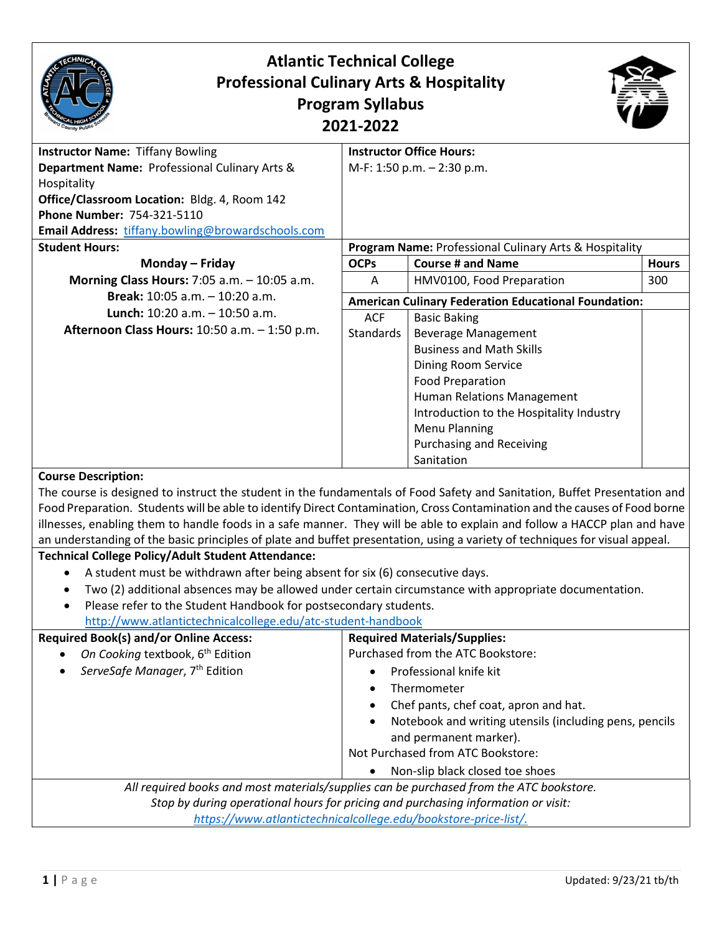| <b>Atlantic Technical College</b><br><b>Professional Culinary Arts &amp; Hospitality</b><br><b>Program Syllabus</b><br>2021-2022                                                                                                                                                                                                                                                                                                                                                                                                                 |                                                             |                                                                                                                                                                                                                                                                                           |              |  |
|--------------------------------------------------------------------------------------------------------------------------------------------------------------------------------------------------------------------------------------------------------------------------------------------------------------------------------------------------------------------------------------------------------------------------------------------------------------------------------------------------------------------------------------------------|-------------------------------------------------------------|-------------------------------------------------------------------------------------------------------------------------------------------------------------------------------------------------------------------------------------------------------------------------------------------|--------------|--|
| <b>Instructor Name: Tiffany Bowling</b><br>Department Name: Professional Culinary Arts &<br>Hospitality<br>Office/Classroom Location: Bldg. 4, Room 142<br>Phone Number: 754-321-5110<br>Email Address: tiffany.bowling@browardschools.com                                                                                                                                                                                                                                                                                                       |                                                             | <b>Instructor Office Hours:</b><br>M-F: 1:50 p.m. - 2:30 p.m.                                                                                                                                                                                                                             |              |  |
| <b>Student Hours:</b>                                                                                                                                                                                                                                                                                                                                                                                                                                                                                                                            |                                                             | Program Name: Professional Culinary Arts & Hospitality                                                                                                                                                                                                                                    |              |  |
| Monday - Friday                                                                                                                                                                                                                                                                                                                                                                                                                                                                                                                                  | <b>OCPs</b>                                                 | <b>Course # and Name</b>                                                                                                                                                                                                                                                                  | <b>Hours</b> |  |
| Morning Class Hours: 7:05 a.m. - 10:05 a.m.                                                                                                                                                                                                                                                                                                                                                                                                                                                                                                      | Α                                                           | HMV0100, Food Preparation                                                                                                                                                                                                                                                                 | 300          |  |
| Break: 10:05 a.m. - 10:20 a.m.                                                                                                                                                                                                                                                                                                                                                                                                                                                                                                                   | <b>American Culinary Federation Educational Foundation:</b> |                                                                                                                                                                                                                                                                                           |              |  |
| Lunch: $10:20$ a.m. $-10:50$ a.m.<br>Afternoon Class Hours: 10:50 a.m. - 1:50 p.m.                                                                                                                                                                                                                                                                                                                                                                                                                                                               | <b>ACF</b><br>Standards                                     | <b>Basic Baking</b><br><b>Beverage Management</b><br><b>Business and Math Skills</b><br>Dining Room Service<br><b>Food Preparation</b><br>Human Relations Management<br>Introduction to the Hospitality Industry<br><b>Menu Planning</b><br><b>Purchasing and Receiving</b><br>Sanitation |              |  |
| <b>Course Description:</b><br>The course is designed to instruct the student in the fundamentals of Food Safety and Sanitation, Buffet Presentation and<br>Food Preparation. Students will be able to identify Direct Contamination, Cross Contamination and the causes of Food borne<br>illnesses, enabling them to handle foods in a safe manner. They will be able to explain and follow a HACCP plan and have<br>an understanding of the basic principles of plate and buffet presentation, using a variety of techniques for visual appeal. |                                                             |                                                                                                                                                                                                                                                                                           |              |  |
| <b>Technical College Policy/Adult Student Attendance:</b>                                                                                                                                                                                                                                                                                                                                                                                                                                                                                        |                                                             |                                                                                                                                                                                                                                                                                           |              |  |
| A student must be withdrawn after being absent for six (6) consecutive days.<br>Two (2) additional absences may be allowed under certain circumstance with appropriate documentation.<br>Please refer to the Student Handbook for postsecondary students.<br>http://www.atlantictechnicalcollege.edu/atc-student-handbook                                                                                                                                                                                                                        |                                                             |                                                                                                                                                                                                                                                                                           |              |  |
| <b>Required Book(s) and/or Online Access:</b>                                                                                                                                                                                                                                                                                                                                                                                                                                                                                                    |                                                             | <b>Required Materials/Supplies:</b>                                                                                                                                                                                                                                                       |              |  |
| On Cooking textbook, 6 <sup>th</sup> Edition<br>ServeSafe Manager, 7 <sup>th</sup> Edition                                                                                                                                                                                                                                                                                                                                                                                                                                                       |                                                             | Purchased from the ATC Bookstore:<br>Professional knife kit<br>Thermometer<br>Chef pants, chef coat, apron and hat.<br>Notebook and writing utensils (including pens, pencils<br>and permanent marker).<br>Not Purchased from ATC Bookstore:<br>Non-slip black closed toe shoes           |              |  |
| All required books and most materials/supplies can be purchased from the ATC bookstore.<br>Stop by during operational hours for pricing and purchasing information or visit:<br>https://www.atlantictechnicalcollege.edu/bookstore-price-list/.                                                                                                                                                                                                                                                                                                  |                                                             |                                                                                                                                                                                                                                                                                           |              |  |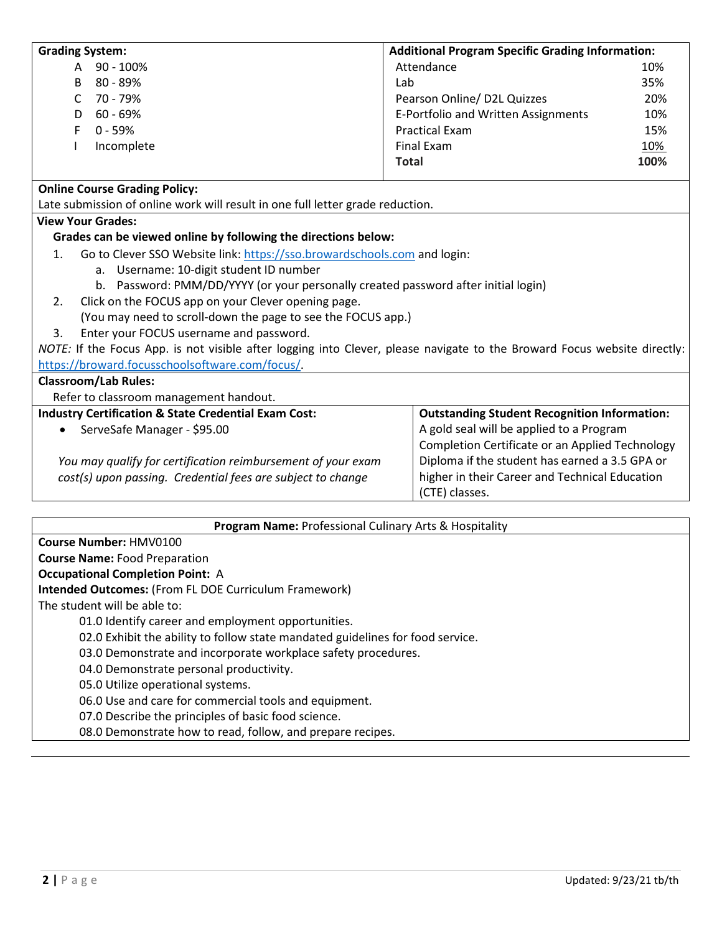| <b>Grading System:</b>                                                                                                   | <b>Additional Program Specific Grading Information:</b> |      |  |  |
|--------------------------------------------------------------------------------------------------------------------------|---------------------------------------------------------|------|--|--|
| $90 - 100%$<br>A                                                                                                         | Attendance                                              | 10%  |  |  |
| 80 - 89%<br>B                                                                                                            | Lab                                                     | 35%  |  |  |
| 70 - 79%<br>C                                                                                                            | Pearson Online/ D2L Quizzes                             | 20%  |  |  |
| $60 - 69%$<br>D                                                                                                          | E-Portfolio and Written Assignments                     | 10%  |  |  |
| $0 - 59%$<br>F                                                                                                           | <b>Practical Exam</b>                                   | 15%  |  |  |
| Incomplete                                                                                                               | Final Exam                                              | 10%  |  |  |
|                                                                                                                          | <b>Total</b>                                            | 100% |  |  |
| <b>Online Course Grading Policy:</b>                                                                                     |                                                         |      |  |  |
| Late submission of online work will result in one full letter grade reduction.                                           |                                                         |      |  |  |
| <b>View Your Grades:</b>                                                                                                 |                                                         |      |  |  |
| Grades can be viewed online by following the directions below:                                                           |                                                         |      |  |  |
| Go to Clever SSO Website link: https://sso.browardschools.com and login:<br>$\mathbf{1}$ .                               |                                                         |      |  |  |
| a. Username: 10-digit student ID number                                                                                  |                                                         |      |  |  |
| b. Password: PMM/DD/YYYY (or your personally created password after initial login)                                       |                                                         |      |  |  |
| Click on the FOCUS app on your Clever opening page.<br>2.                                                                |                                                         |      |  |  |
| (You may need to scroll-down the page to see the FOCUS app.)                                                             |                                                         |      |  |  |
| Enter your FOCUS username and password.<br>3.                                                                            |                                                         |      |  |  |
| NOTE: If the Focus App. is not visible after logging into Clever, please navigate to the Broward Focus website directly: |                                                         |      |  |  |
| https://broward.focusschoolsoftware.com/focus/.                                                                          |                                                         |      |  |  |
| <b>Classroom/Lab Rules:</b>                                                                                              |                                                         |      |  |  |
| Refer to classroom management handout.                                                                                   |                                                         |      |  |  |
| <b>Industry Certification &amp; State Credential Exam Cost:</b>                                                          | <b>Outstanding Student Recognition Information:</b>     |      |  |  |
| ServeSafe Manager - \$95.00                                                                                              | A gold seal will be applied to a Program                |      |  |  |
|                                                                                                                          | Completion Certificate or an Applied Technology         |      |  |  |
| You may qualify for certification reimbursement of your exam                                                             | Diploma if the student has earned a 3.5 GPA or          |      |  |  |
| cost(s) upon passing. Credential fees are subject to change                                                              | higher in their Career and Technical Education          |      |  |  |
|                                                                                                                          | (CTE) classes.                                          |      |  |  |
|                                                                                                                          |                                                         |      |  |  |
| <b>Program Name:</b> Professional Culinary Arts & Hosnitality                                                            |                                                         |      |  |  |

| <b>Program Name:</b> Professional Cullinary Arts & Hospitality                 |  |  |
|--------------------------------------------------------------------------------|--|--|
| Course Number: HMV0100                                                         |  |  |
| <b>Course Name: Food Preparation</b>                                           |  |  |
| <b>Occupational Completion Point: A</b>                                        |  |  |
| <b>Intended Outcomes: (From FL DOE Curriculum Framework)</b>                   |  |  |
| The student will be able to:                                                   |  |  |
| 01.0 Identify career and employment opportunities.                             |  |  |
| 02.0 Exhibit the ability to follow state mandated guidelines for food service. |  |  |
| 03.0 Demonstrate and incorporate workplace safety procedures.                  |  |  |
| 04.0 Demonstrate personal productivity.                                        |  |  |
| 05.0 Utilize operational systems.                                              |  |  |
| 06.0 Use and care for commercial tools and equipment.                          |  |  |
| 07.0 Describe the principles of basic food science.                            |  |  |
| 08.0 Demonstrate how to read, follow, and prepare recipes.                     |  |  |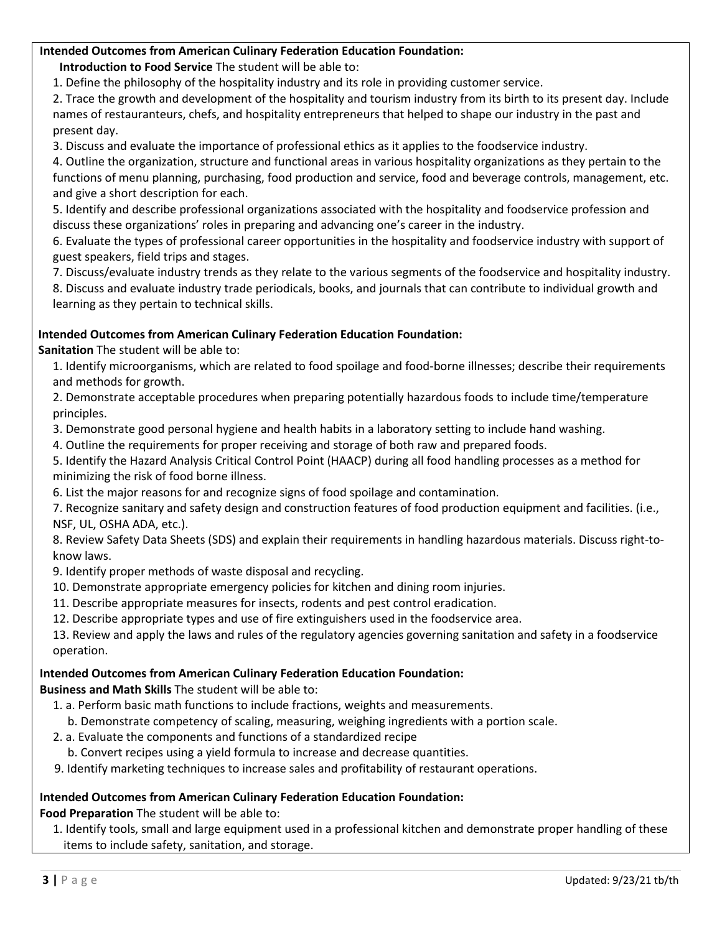# **Intended Outcomes from American Culinary Federation Education Foundation:**

**Introduction to Food Service** The student will be able to:

1. Define the philosophy of the hospitality industry and its role in providing customer service.

2. Trace the growth and development of the hospitality and tourism industry from its birth to its present day. Include names of restauranteurs, chefs, and hospitality entrepreneurs that helped to shape our industry in the past and present day.

3. Discuss and evaluate the importance of professional ethics as it applies to the foodservice industry.

4. Outline the organization, structure and functional areas in various hospitality organizations as they pertain to the functions of menu planning, purchasing, food production and service, food and beverage controls, management, etc. and give a short description for each.

5. Identify and describe professional organizations associated with the hospitality and foodservice profession and discuss these organizations' roles in preparing and advancing one's career in the industry.

6. Evaluate the types of professional career opportunities in the hospitality and foodservice industry with support of guest speakers, field trips and stages.

7. Discuss/evaluate industry trends as they relate to the various segments of the foodservice and hospitality industry.

8. Discuss and evaluate industry trade periodicals, books, and journals that can contribute to individual growth and learning as they pertain to technical skills.

### **Intended Outcomes from American Culinary Federation Education Foundation:**

**Sanitation** The student will be able to:

1. Identify microorganisms, which are related to food spoilage and food-borne illnesses; describe their requirements and methods for growth.

2. Demonstrate acceptable procedures when preparing potentially hazardous foods to include time/temperature principles.

3. Demonstrate good personal hygiene and health habits in a laboratory setting to include hand washing.

4. Outline the requirements for proper receiving and storage of both raw and prepared foods.

5. Identify the Hazard Analysis Critical Control Point (HAACP) during all food handling processes as a method for minimizing the risk of food borne illness.

6. List the major reasons for and recognize signs of food spoilage and contamination.

7. Recognize sanitary and safety design and construction features of food production equipment and facilities. (i.e., NSF, UL, OSHA ADA, etc.).

8. Review Safety Data Sheets (SDS) and explain their requirements in handling hazardous materials. Discuss right-toknow laws.

- 9. Identify proper methods of waste disposal and recycling.
- 10. Demonstrate appropriate emergency policies for kitchen and dining room injuries.
- 11. Describe appropriate measures for insects, rodents and pest control eradication.
- 12. Describe appropriate types and use of fire extinguishers used in the foodservice area.

13. Review and apply the laws and rules of the regulatory agencies governing sanitation and safety in a foodservice operation.

### **Intended Outcomes from American Culinary Federation Education Foundation:**

**Business and Math Skills** The student will be able to:

- 1. a. Perform basic math functions to include fractions, weights and measurements.
	- b. Demonstrate competency of scaling, measuring, weighing ingredients with a portion scale.
- 2. a. Evaluate the components and functions of a standardized recipe
- b. Convert recipes using a yield formula to increase and decrease quantities.
- 9. Identify marketing techniques to increase sales and profitability of restaurant operations.

#### **Intended Outcomes from American Culinary Federation Education Foundation:**

**Food Preparation** The student will be able to:

1. Identify tools, small and large equipment used in a professional kitchen and demonstrate proper handling of these items to include safety, sanitation, and storage.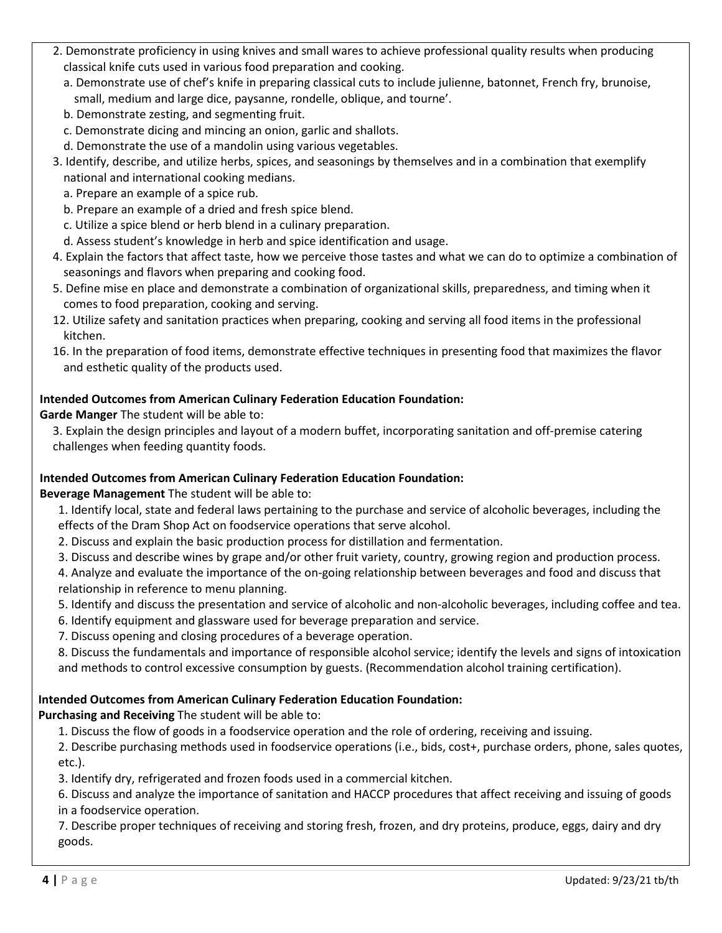- 2. Demonstrate proficiency in using knives and small wares to achieve professional quality results when producing classical knife cuts used in various food preparation and cooking.
	- a. Demonstrate use of chef's knife in preparing classical cuts to include julienne, batonnet, French fry, brunoise, small, medium and large dice, paysanne, rondelle, oblique, and tourne'.
	- b. Demonstrate zesting, and segmenting fruit.
	- c. Demonstrate dicing and mincing an onion, garlic and shallots.
	- d. Demonstrate the use of a mandolin using various vegetables.
- 3. Identify, describe, and utilize herbs, spices, and seasonings by themselves and in a combination that exemplify national and international cooking medians.
	- a. Prepare an example of a spice rub.
	- b. Prepare an example of a dried and fresh spice blend.
	- c. Utilize a spice blend or herb blend in a culinary preparation.
	- d. Assess student's knowledge in herb and spice identification and usage.
- 4. Explain the factors that affect taste, how we perceive those tastes and what we can do to optimize a combination of seasonings and flavors when preparing and cooking food.
- 5. Define mise en place and demonstrate a combination of organizational skills, preparedness, and timing when it comes to food preparation, cooking and serving.
- 12. Utilize safety and sanitation practices when preparing, cooking and serving all food items in the professional kitchen.
- 16. In the preparation of food items, demonstrate effective techniques in presenting food that maximizes the flavor and esthetic quality of the products used.

### **Intended Outcomes from American Culinary Federation Education Foundation:**

### **Garde Manger** The student will be able to:

3. Explain the design principles and layout of a modern buffet, incorporating sanitation and off-premise catering challenges when feeding quantity foods.

### **Intended Outcomes from American Culinary Federation Education Foundation:**

**Beverage Management** The student will be able to:

- 1. Identify local, state and federal laws pertaining to the purchase and service of alcoholic beverages, including the effects of the Dram Shop Act on foodservice operations that serve alcohol.
- 2. Discuss and explain the basic production process for distillation and fermentation.
- 3. Discuss and describe wines by grape and/or other fruit variety, country, growing region and production process.

4. Analyze and evaluate the importance of the on-going relationship between beverages and food and discuss that relationship in reference to menu planning.

- 5. Identify and discuss the presentation and service of alcoholic and non-alcoholic beverages, including coffee and tea.
- 6. Identify equipment and glassware used for beverage preparation and service.
- 7. Discuss opening and closing procedures of a beverage operation.

8. Discuss the fundamentals and importance of responsible alcohol service; identify the levels and signs of intoxication and methods to control excessive consumption by guests. (Recommendation alcohol training certification).

### **Intended Outcomes from American Culinary Federation Education Foundation:**

**Purchasing and Receiving** The student will be able to:

1. Discuss the flow of goods in a foodservice operation and the role of ordering, receiving and issuing.

2. Describe purchasing methods used in foodservice operations (i.e., bids, cost+, purchase orders, phone, sales quotes, etc.).

3. Identify dry, refrigerated and frozen foods used in a commercial kitchen.

6. Discuss and analyze the importance of sanitation and HACCP procedures that affect receiving and issuing of goods in a foodservice operation.

7. Describe proper techniques of receiving and storing fresh, frozen, and dry proteins, produce, eggs, dairy and dry goods.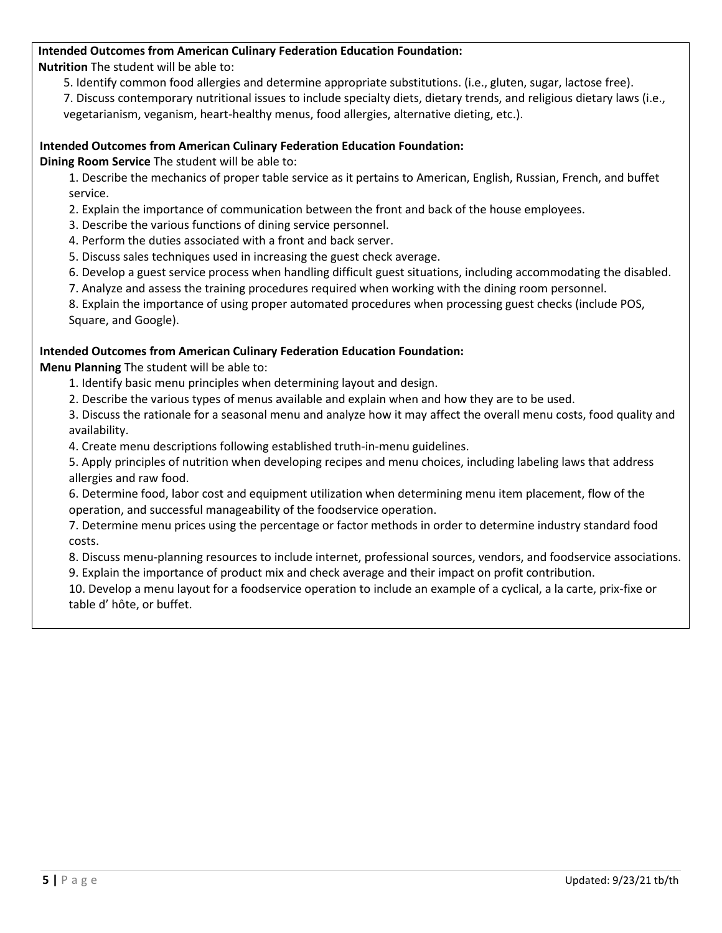## **Intended Outcomes from American Culinary Federation Education Foundation:**

**Nutrition** The student will be able to:

5. Identify common food allergies and determine appropriate substitutions. (i.e., gluten, sugar, lactose free).

7. Discuss contemporary nutritional issues to include specialty diets, dietary trends, and religious dietary laws (i.e., vegetarianism, veganism, heart-healthy menus, food allergies, alternative dieting, etc.).

#### **Intended Outcomes from American Culinary Federation Education Foundation:**

**Dining Room Service** The student will be able to:

1. Describe the mechanics of proper table service as it pertains to American, English, Russian, French, and buffet service.

2. Explain the importance of communication between the front and back of the house employees.

- 3. Describe the various functions of dining service personnel.
- 4. Perform the duties associated with a front and back server.
- 5. Discuss sales techniques used in increasing the guest check average.
- 6. Develop a guest service process when handling difficult guest situations, including accommodating the disabled.

7. Analyze and assess the training procedures required when working with the dining room personnel.

8. Explain the importance of using proper automated procedures when processing guest checks (include POS, Square, and Google).

#### **Intended Outcomes from American Culinary Federation Education Foundation:**

**Menu Planning** The student will be able to:

- 1. Identify basic menu principles when determining layout and design.
- 2. Describe the various types of menus available and explain when and how they are to be used.

3. Discuss the rationale for a seasonal menu and analyze how it may affect the overall menu costs, food quality and availability.

4. Create menu descriptions following established truth-in-menu guidelines.

5. Apply principles of nutrition when developing recipes and menu choices, including labeling laws that address allergies and raw food.

6. Determine food, labor cost and equipment utilization when determining menu item placement, flow of the operation, and successful manageability of the foodservice operation.

7. Determine menu prices using the percentage or factor methods in order to determine industry standard food costs.

8. Discuss menu-planning resources to include internet, professional sources, vendors, and foodservice associations. 9. Explain the importance of product mix and check average and their impact on profit contribution.

10. Develop a menu layout for a foodservice operation to include an example of a cyclical, a la carte, prix-fixe or table d' hôte, or buffet.